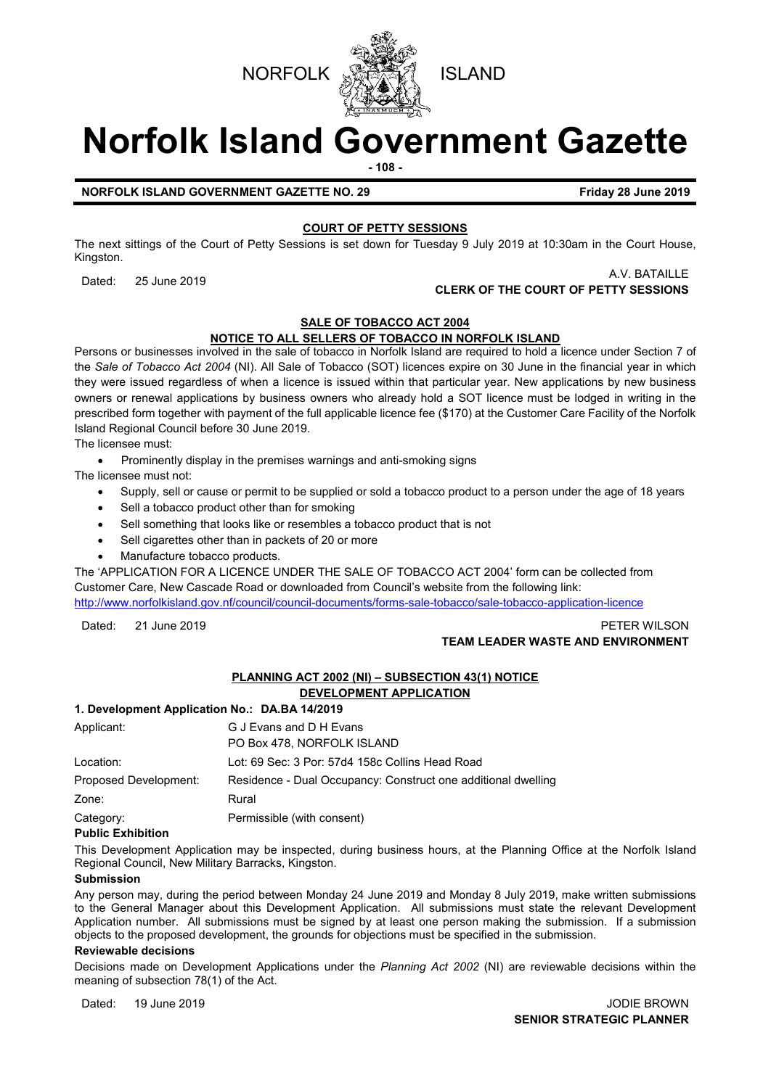



# **Norfolk Island Government Gazette**

**- 108 -**

**NORFOLK ISLAND GOVERNMENT GAZETTE NO. 29 Friday 28 June 2019** 

#### **COURT OF PETTY SESSIONS**

The next sittings of the Court of Petty Sessions is set down for Tuesday 9 July 2019 at 10:30am in the Court House, Kingston.

## A.V. BATAILLE<br>**CLERK OF THE COURT OF PETTY SESSIONS CLERK OF THE COURT OF PETTY SESSIONS**

#### **SALE OF TOBACCO ACT 2004**

#### **NOTICE TO ALL SELLERS OF TOBACCO IN NORFOLK ISLAND**

Persons or businesses involved in the sale of tobacco in Norfolk Island are required to hold a licence under Section 7 of the *Sale of Tobacco Act 2004* (NI). All Sale of Tobacco (SOT) licences expire on 30 June in the financial year in which they were issued regardless of when a licence is issued within that particular year. New applications by new business owners or renewal applications by business owners who already hold a SOT licence must be lodged in writing in the prescribed form together with payment of the full applicable licence fee (\$170) at the Customer Care Facility of the Norfolk Island Regional Council before 30 June 2019.

The licensee must:

• Prominently display in the premises warnings and anti-smoking signs

The licensee must not:

- Supply, sell or cause or permit to be supplied or sold a tobacco product to a person under the age of 18 years
- Sell a tobacco product other than for smoking
- Sell something that looks like or resembles a tobacco product that is not
- Sell cigarettes other than in packets of 20 or more
- Manufacture tobacco products.

The 'APPLICATION FOR A LICENCE UNDER THE SALE OF TOBACCO ACT 2004' form can be collected from Customer Care, New Cascade Road or downloaded from Council's website from the following link: <http://www.norfolkisland.gov.nf/council/council-documents/forms-sale-tobacco/sale-tobacco-application-licence>

Dated: 21 June 2019 PETER WILSON

#### **TEAM LEADER WASTE AND ENVIRONMENT**

#### **PLANNING ACT 2002 (NI) – SUBSECTION 43(1) NOTICE DEVELOPMENT APPLICATION**

#### **1. Development Application No.: DA.BA 14/2019**

| Applicant:            | G J Evans and D H Evans<br>PO Box 478, NORFOLK ISLAND         |
|-----------------------|---------------------------------------------------------------|
| Location:             | Lot: 69 Sec: 3 Por: 57d4 158c Collins Head Road               |
| Proposed Development: | Residence - Dual Occupancy: Construct one additional dwelling |
| Zone:                 | Rural                                                         |
| Category:             | Permissible (with consent)                                    |

#### **Public Exhibition**

This Development Application may be inspected, during business hours, at the Planning Office at the Norfolk Island Regional Council, New Military Barracks, Kingston.

#### **Submission**

Any person may, during the period between Monday 24 June 2019 and Monday 8 July 2019, make written submissions to the General Manager about this Development Application. All submissions must state the relevant Development Application number. All submissions must be signed by at least one person making the submission. If a submission objects to the proposed development, the grounds for objections must be specified in the submission.

#### **Reviewable decisions**

Decisions made on Development Applications under the *Planning Act 2002* (NI) are reviewable decisions within the meaning of subsection 78(1) of the Act.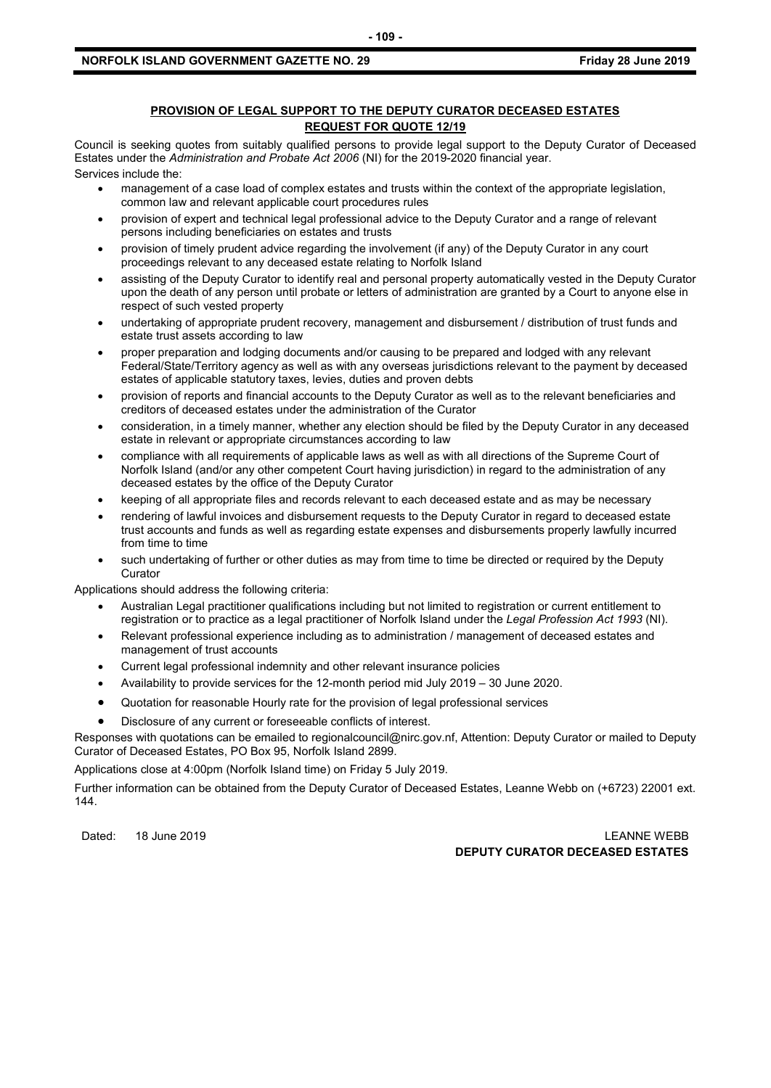#### **NORFOLK ISLAND GOVERNMENT GAZETTE NO. 29 FRIDAY 28 JUNE 2019 Friday 28 June 2019**

#### **PROVISION OF LEGAL SUPPORT TO THE DEPUTY CURATOR DECEASED ESTATES REQUEST FOR QUOTE 12/19**

Council is seeking quotes from suitably qualified persons to provide legal support to the Deputy Curator of Deceased Estates under the *Administration and Probate Act 2006* (NI) for the 2019-2020 financial year. Services include the:

- management of a case load of complex estates and trusts within the context of the appropriate legislation, common law and relevant applicable court procedures rules
- provision of expert and technical legal professional advice to the Deputy Curator and a range of relevant persons including beneficiaries on estates and trusts
- provision of timely prudent advice regarding the involvement (if any) of the Deputy Curator in any court proceedings relevant to any deceased estate relating to Norfolk Island
- assisting of the Deputy Curator to identify real and personal property automatically vested in the Deputy Curator upon the death of any person until probate or letters of administration are granted by a Court to anyone else in respect of such vested property
- undertaking of appropriate prudent recovery, management and disbursement / distribution of trust funds and estate trust assets according to law
- proper preparation and lodging documents and/or causing to be prepared and lodged with any relevant Federal/State/Territory agency as well as with any overseas jurisdictions relevant to the payment by deceased estates of applicable statutory taxes, levies, duties and proven debts
- provision of reports and financial accounts to the Deputy Curator as well as to the relevant beneficiaries and creditors of deceased estates under the administration of the Curator
- consideration, in a timely manner, whether any election should be filed by the Deputy Curator in any deceased estate in relevant or appropriate circumstances according to law
- compliance with all requirements of applicable laws as well as with all directions of the Supreme Court of Norfolk Island (and/or any other competent Court having jurisdiction) in regard to the administration of any deceased estates by the office of the Deputy Curator
- keeping of all appropriate files and records relevant to each deceased estate and as may be necessary
- rendering of lawful invoices and disbursement requests to the Deputy Curator in regard to deceased estate trust accounts and funds as well as regarding estate expenses and disbursements properly lawfully incurred from time to time
- such undertaking of further or other duties as may from time to time be directed or required by the Deputy **Curator**

Applications should address the following criteria:

- Australian Legal practitioner qualifications including but not limited to registration or current entitlement to registration or to practice as a legal practitioner of Norfolk Island under the *Legal Profession Act 1993* (NI).
- Relevant professional experience including as to administration / management of deceased estates and management of trust accounts
- Current legal professional indemnity and other relevant insurance policies
- Availability to provide services for the 12-month period mid July 2019 30 June 2020.
- Quotation for reasonable Hourly rate for the provision of legal professional services
- Disclosure of any current or foreseeable conflicts of interest.

Responses with quotations can be emailed to [regionalcouncil@nirc.gov.nf,](mailto:regionalcouncil@nirc.gov.nf) Attention: Deputy Curator or mailed to Deputy Curator of Deceased Estates, PO Box 95, Norfolk Island 2899.

Applications close at 4:00pm (Norfolk Island time) on Friday 5 July 2019.

Further information can be obtained from the Deputy Curator of Deceased Estates, Leanne Webb on (+6723) 22001 ext. 144.

Dated: 18 June 2019 LEANNE WEBB **DEPUTY CURATOR DECEASED ESTATES**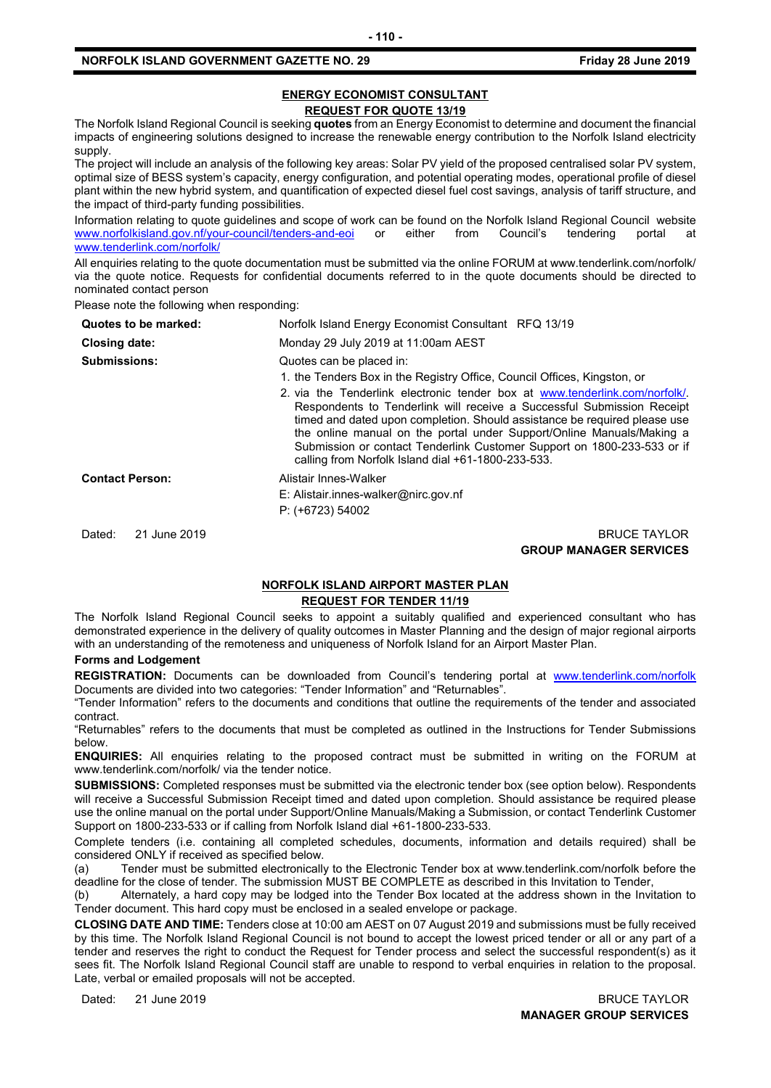#### **ENERGY ECONOMIST CONSULTANT REQUEST FOR QUOTE 13/19**

The Norfolk Island Regional Council is seeking **quotes** from an Energy Economist to determine and document the financial impacts of engineering solutions designed to increase the renewable energy contribution to the Norfolk Island electricity supply.

The project will include an analysis of the following key areas: Solar PV yield of the proposed centralised solar PV system, optimal size of BESS system's capacity, energy configuration, and potential operating modes, operational profile of diesel plant within the new hybrid system, and quantification of expected diesel fuel cost savings, analysis of tariff structure, and the impact of third-party funding possibilities.

Information relating to quote guidelines and scope of work can be found on the Norfolk Island Regional Council website<br>www.norfolkisland.gov.nf/your-council/tenders-and-eoi or either from Council's tendering portal at [www.norfolkisland.gov.nf/your-council/tenders-and-eoi](http://www.norfolkisland.gov.nf/your-council/tenders-and-eoi) or either from Council's tendering portal at [www.tenderlink.com/norfolk/](http://www.tenderlink.com/norfolk/)

All enquiries relating to the quote documentation must be submitted via the online FORUM at www.tenderlink.com/norfolk/ via the quote notice. Requests for confidential documents referred to in the quote documents should be directed to nominated contact person

Please note the following when responding:

| Quotes to be marked:   | Norfolk Island Energy Economist Consultant RFQ 13/19                                                                                                                                                                                                                                                                                                                                                                                                                                                                                                 |
|------------------------|------------------------------------------------------------------------------------------------------------------------------------------------------------------------------------------------------------------------------------------------------------------------------------------------------------------------------------------------------------------------------------------------------------------------------------------------------------------------------------------------------------------------------------------------------|
| Closing date:          | Monday 29 July 2019 at 11:00am AEST                                                                                                                                                                                                                                                                                                                                                                                                                                                                                                                  |
| <b>Submissions:</b>    | Quotes can be placed in:<br>1. the Tenders Box in the Registry Office, Council Offices, Kingston, or<br>2. via the Tenderlink electronic tender box at www.tenderlink.com/norfolk/.<br>Respondents to Tenderlink will receive a Successful Submission Receipt<br>timed and dated upon completion. Should assistance be required please use<br>the online manual on the portal under Support/Online Manuals/Making a<br>Submission or contact Tenderlink Customer Support on 1800-233-533 or if<br>calling from Norfolk Island dial +61-1800-233-533. |
| <b>Contact Person:</b> | Alistair Innes-Walker<br>E: Alistair.innes-walker@nirc.gov.nf<br>$P: (+6723) 54002$                                                                                                                                                                                                                                                                                                                                                                                                                                                                  |
| 21 June 2019<br>Dated: | <b>BRUCE TAYLOR</b><br><b>GROUP MANAGER SERVICES</b>                                                                                                                                                                                                                                                                                                                                                                                                                                                                                                 |

#### **NORFOLK ISLAND AIRPORT MASTER PLAN REQUEST FOR TENDER 11/19**

The Norfolk Island Regional Council seeks to appoint a suitably qualified and experienced consultant who has demonstrated experience in the delivery of quality outcomes in Master Planning and the design of major regional airports with an understanding of the remoteness and uniqueness of Norfolk Island for an Airport Master Plan.

#### **Forms and Lodgement**

REGISTRATION: Documents can be downloaded from Council's tendering portal at [www.tenderlink.com/norfolk](http://www.tenderlink.com/norfolk) Documents are divided into two categories: "Tender Information" and "Returnables".

"Tender Information" refers to the documents and conditions that outline the requirements of the tender and associated contract.

"Returnables" refers to the documents that must be completed as outlined in the Instructions for Tender Submissions below.

**ENQUIRIES:** All enquiries relating to the proposed contract must be submitted in writing on the FORUM at www.tenderlink.com/norfolk/ via the tender notice.

**SUBMISSIONS:** Completed responses must be submitted via the electronic tender box (see option below). Respondents will receive a Successful Submission Receipt timed and dated upon completion. Should assistance be required please use the online manual on the portal under Support/Online Manuals/Making a Submission, or contact Tenderlink Customer Support on 1800-233-533 or if calling from Norfolk Island dial +61-1800-233-533.

Complete tenders (i.e. containing all completed schedules, documents, information and details required) shall be considered ONLY if received as specified below.

(a) Tender must be submitted electronically to the Electronic Tender box at www.tenderlink.com/norfolk before the deadline for the close of tender. The submission MUST BE COMPLETE as described in this Invitation to Tender,

(b) Alternately, a hard copy may be lodged into the Tender Box located at the address shown in the Invitation to Tender document. This hard copy must be enclosed in a sealed envelope or package.

**CLOSING DATE AND TIME:** Tenders close at 10:00 am AEST on 07 August 2019 and submissions must be fully received by this time. The Norfolk Island Regional Council is not bound to accept the lowest priced tender or all or any part of a tender and reserves the right to conduct the Request for Tender process and select the successful respondent(s) as it sees fit. The Norfolk Island Regional Council staff are unable to respond to verbal enquiries in relation to the proposal. Late, verbal or emailed proposals will not be accepted.

Dated: 21 June 2019 BRUCE TAYLOR **MANAGER GROUP SERVICES**